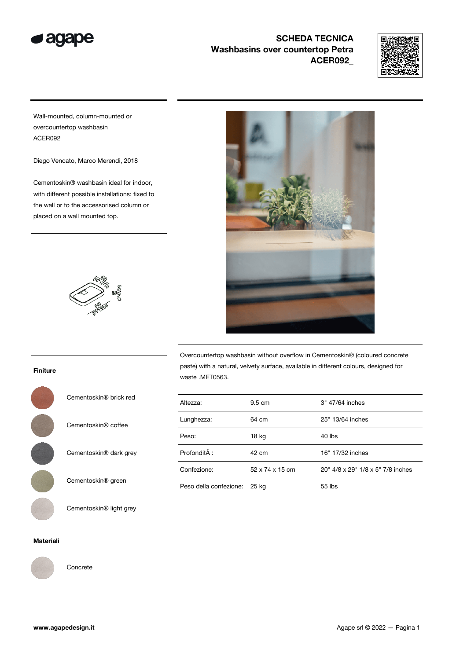



Wall-mounted, column-mounted or overcountertop washbasin ACER092\_

Diego Vencato, Marco Merendi, 2018

Cementoskin® washbasin ideal for indoor, with different possible installations: fixed to the wall or to the accessorised column or placed on a wall mounted top.





Overcountertop washbasin without overflow in Cementoskin® (coloured concrete paste) with a natural, velvety surface, available in different colours, designed for waste .MET0563.

| Altezza:               | 9.5 cm          | 3" 47/64 inches                   |
|------------------------|-----------------|-----------------------------------|
| Lunghezza:             | 64 cm           | 25" 13/64 inches                  |
| Peso:                  | $18$ kg         | 40 lbs                            |
| Profondità :           | $42 \text{ cm}$ | 16" 17/32 inches                  |
| Confezione:            | 52 x 74 x 15 cm | 20" 4/8 x 29" 1/8 x 5" 7/8 inches |
| Peso della confezione: | 25 kg           | $55$ lbs                          |

Finiture



Cementoskin® light grey

#### Materiali



Concrete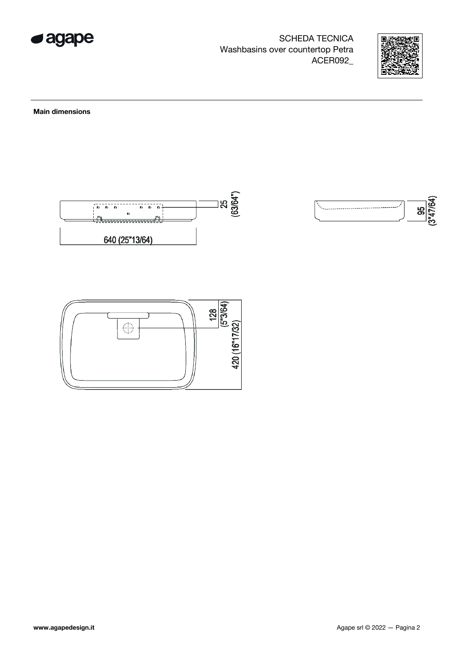



 $\frac{95}{(3^{147/64})}$ 

Main dimensions



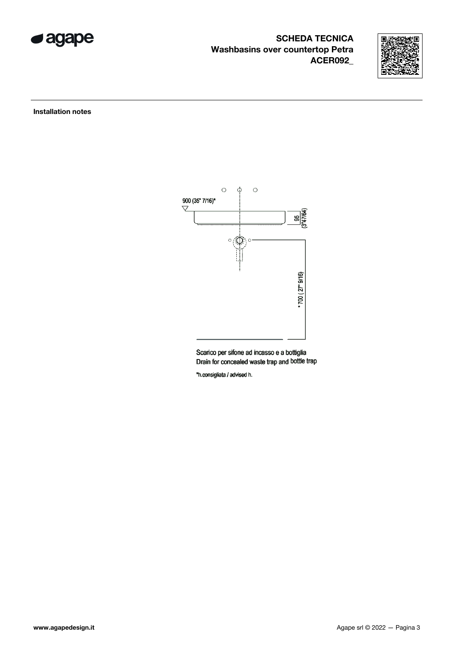



Installation notes



Scarico per sifone ad incasso e a bottiglia Drain for concealed waste trap and bottle trap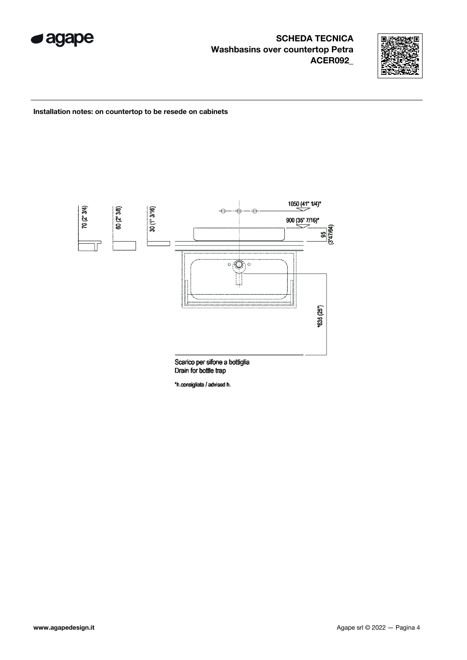



Installation notes: on countertop to be resede on cabinets



Drain for bottle trap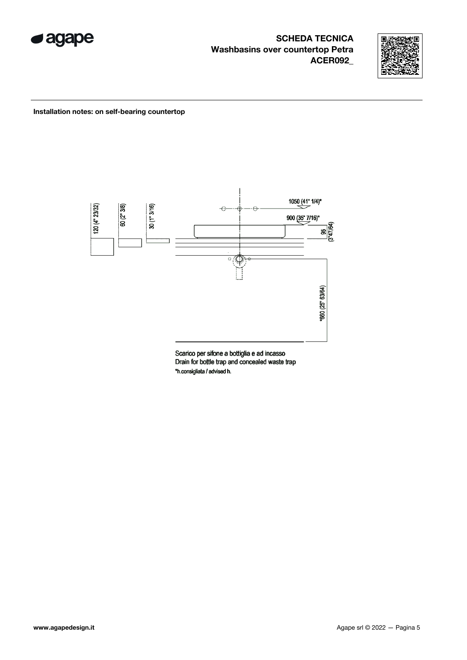



### Installation notes: on self-bearing countertop



Scarico per sifone a bottiglia e ad incasso Drain for bottle trap and concealed waste trap \*h.consigliata / advised h.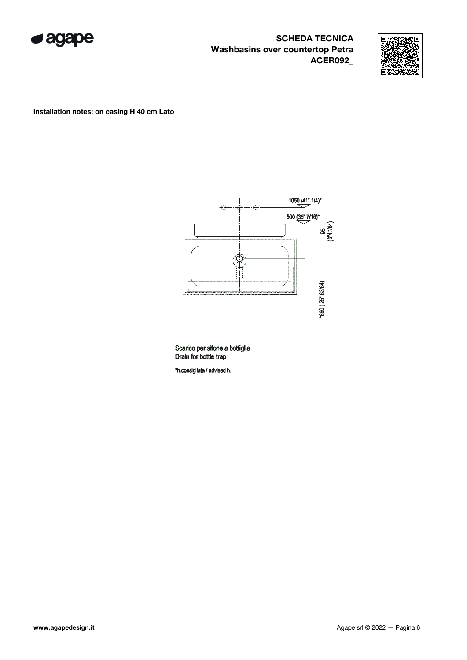



### Installation notes: on casing H 40 cm Lato



Scarico per sifone a bottiglia<br>Drain for bottle trap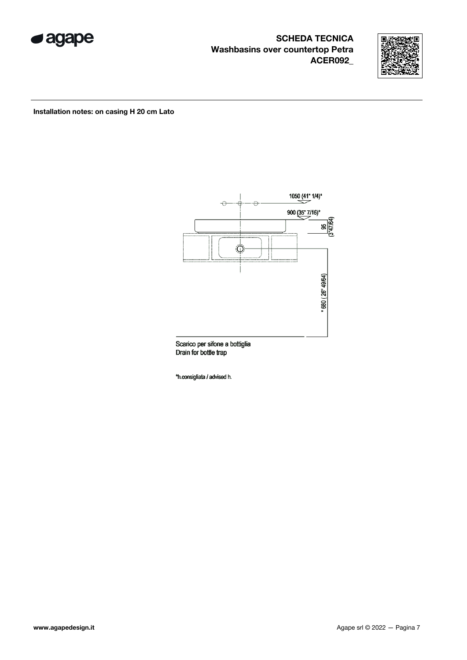



Installation notes: on casing H 20 cm Lato



Scarico per sifone a bottiglia Drain for bottle trap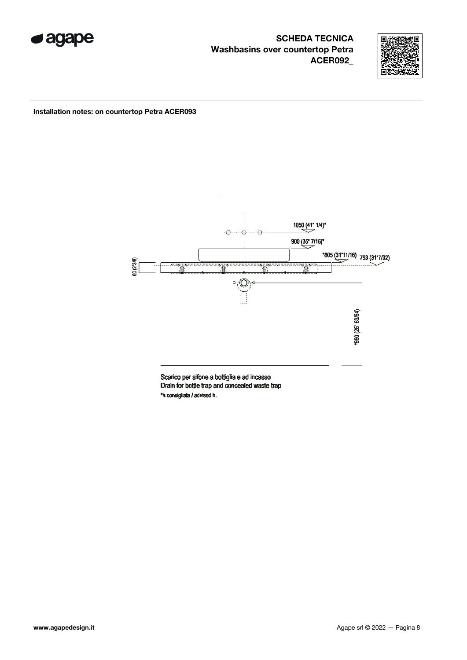



Installation notes: on countertop Petra ACER093



Scarico per sifone a bottiglia e ad incasso Drain for bottle trap and concealed waste trap \*h.consigliata / advised h.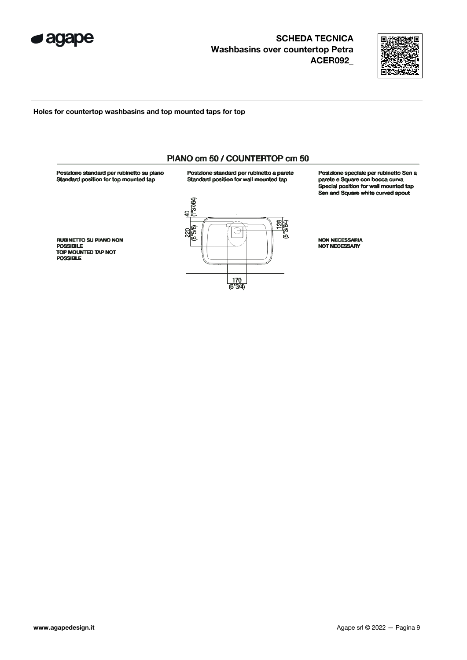



#### Holes for countertop washbasins and top mounted taps for top